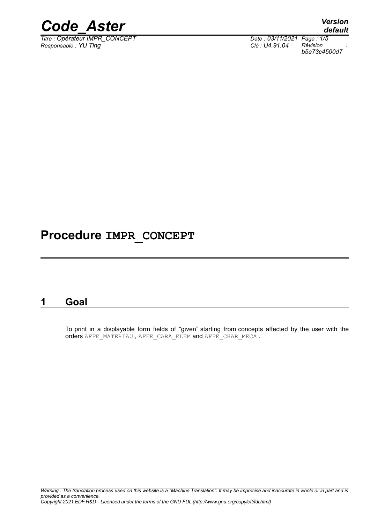

*Titre : Opérateur IMPR\_CONCEPT Date : 03/11/2021 Page : 1/5 Responsable : YU Ting Clé : U4.91.04 Révision :*

*default b5e73c4500d7*

# **Procedure IMPR\_CONCEPT**

# **1 Goal**

To print in a displayable form fields of "given" starting from concepts affected by the user with the orders AFFE\_MATERIAU , AFFE\_CARA\_ELEM and AFFE\_CHAR\_MECA .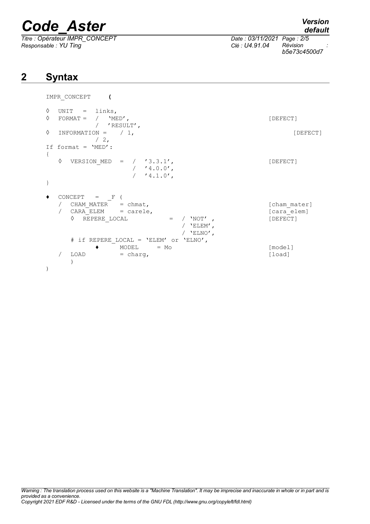*Titre : Opérateur IMPR\_CONCEPT Date : 03/11/2021 Page : 2/5 Responsable : YU Ting Clé : U4.91.04 Révision :*

*default*

*b5e73c4500d7*

# **2 Syntax**

```
IMPR_CONCEPT (
\Diamond UNIT = links,
\Diamond FORMAT = / 'MED',<br>/ 'RESULT',
           'RESULT',<br>= / 1,◊ INFORMATION = / 1, [DEFECT]
         /2,
If format = 'MED':
{
  \Diamond VERSION MED = / '3.3.1', [DEFECT]
                 / 4.0.0',/ 4.1.0',
}
\bullet CONCEPT = _F (
  / CHAM_MATER = chmat, [char]/ CARA_ELEM = carele,<br>
0 REPERE LOCAL = / 'NOT', [DEFECT]
    \Diamond REPERE LOCAL = / 'NOT' , [DEFECT]
                           / 'ELEM',
                           / 'ELNO',
     # if REPERE_LOCAL = 'ELEM' or 'ELNO',
              \texttt{MODEL} = \texttt{Mo} \qquad \qquad \texttt{[model]}/ LOAD = charg, [load]
    )
)
```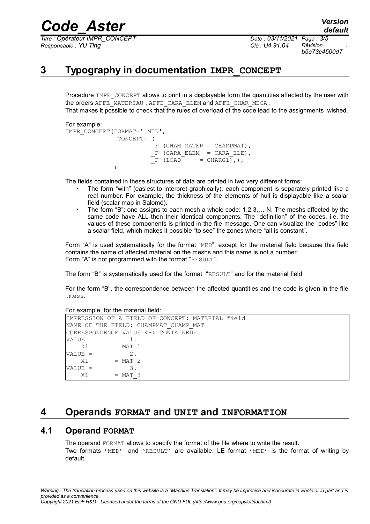*Titre : Opérateur IMPR\_CONCEPT Date : 03/11/2021 Page : 3/5 Responsable : YU Ting Clé : U4.91.04 Révision :*

*b5e73c4500d7*

# **3 Typography in documentation IMPR\_CONCEPT**

Procedure IMPR\_CONCEPT allows to print in a displayable form the quantities affected by the user with the orders AFFE\_MATERIAU, AFFE\_CARA\_ELEM and AFFE\_CHAR\_MECA.

That makes it possible to check that the rules of overload of the code lead to the assignments wished.

#### For example:

```
IMPR_CONCEPT(FORMAT=' MED',
                CONCEPT= (
                          F (CHAM MATER = CHAMPMAT),
                          \overline{F} (CARA\overline{ELEM} = CARAELE),
                          \overline{F} (LOAD = CHARG1),),
)
```
The fields contained in these structures of data are printed in two very different forms:

- The form "with" (easiest to interpret graphically): each component is separately printed like a real number. For example, the thickness of the elements of hull is displayable like a scalar field (scalar map in Salomé).
- The form "B": one assigns to each mesh a whole code: 1,2,3,... N. The meshs affected by the same code have ALL then their identical components. The "definition" of the codes, i.e. the values of these components is printed in the file message. One can visualize the "codes" like a scalar field, which makes it possible "to see" the zones where "all is constant".

Form "A" is used systematically for the format "MED", except for the material field because this field contains the name of affected material on the meshs and this name is not a number. Form "A" is not programmed with the format "RESULT".

The form "B" is systematically used for the format "RESULT" and for the material field.

For the form "B", the correspondence between the affected quantities and the code is given in the file .mess.

For example, for the material field:

```
IMPRESSION OF A FIELD OF CONCEPT: MATERIAL field
NAME OF THE FIELD: CHAMPMAT CHAMP MAT
CORRESPONDENCE VALUE <-> CONTAINED:
VALUE = 1.X1 = \text{MAT}_1<br>W = \frac{1}{2}VATJUE =X1 = MAT 2
VALUE = 3.
   X1 = MAT 3
```
## **4 Operands FORMAT and UNIT and INFORMATION**

### **4.1 Operand FORMAT**

The operand FORMAT allows to specify the format of the file where to write the result. Two formats 'MED' and 'RESULT' are available. LE format 'MED' is the format of writing by default.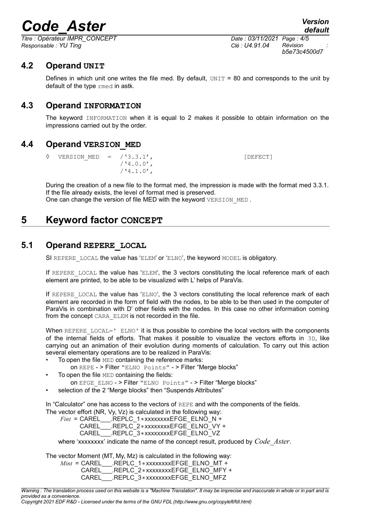*Titre : Opérateur IMPR\_CONCEPT Date : 03/11/2021 Page : 4/5 Responsable : YU Ting Clé : U4.91.04 Révision :*

*b5e73c4500d7*

### **4.2 Operand UNIT**

Defines in which unit one writes the file med. By default,  $UNIT = 80$  and corresponds to the unit by default of the type rmed in astk.

### **4.3 Operand INFORMATION**

The keyword INFORMATION when it is equal to 2 makes it possible to obtain information on the impressions carried out by the order.

### **4.4 Operand VERSION\_MED**

 $\Diamond$  VERSION MED = /'3.3.1',  $/$ '4.0.0',  $/$ '4.1.0',

During the creation of a new file to the format med, the impression is made with the format med 3.3.1. If the file already exists, the level of format med is preserved. One can change the version of file MED with the keyword VERSION MED.

# **5 Keyword factor CONCEPT**

### **5.1 Operand REPERE\_LOCAL**

SI REPERE LOCAL the value has 'ELEM' or 'ELNO', the keyword MODEL is obligatory.

If REPERE LOCAL the value has 'ELEM', the 3 vectors constituting the local reference mark of each element are printed, to be able to be visualized with L' helps of ParaVis.

If REPERE LOCAL the value has 'ELNO', the 3 vectors constituting the local reference mark of each element are recorded in the form of field with the nodes, to be able to be then used in the computer of ParaVis in combination with D' other fields with the nodes. In this case no other information coming from the concept CARA ELEM is not recorded in the file.

When REPERE LOCAL=' ELNO' it is thus possible to combine the local vectors with the components of the internal fields of efforts. That makes it possible to visualize the vectors efforts in 3D, like carrying out an animation of their evolution during moments of calculation. To carry out this action several elementary operations are to be realized in ParaVis:

- To open the file MED containing the reference marks:
	- on REPE > Filter "ELNO Points" > Filter "Merge blocks"
- To open the file MED containing the fields:
	- on EFGE\_ELNO > Filter "ELNO Points" > Filter "Merge blocks"
- selection of the 2 "Merge blocks" then "Suspends Attributes"

In "Calculator" one has access to the vectors of REPE and with the components of the fields. The vector effort (NR, Vy, Vz) is calculated in the following way:

*Fint* = CAREL\_\_\_.REPLC\_1∗xxxxxxxxEFGE\_ELNO\_N + CAREL\_\_\_.REPLC\_2∗xxxxxxxxEFGE\_ELNO\_VY + CAREL\_\_\_.REPLC\_3∗xxxxxxxxEFGE\_ELNO\_VZ

where 'xxxxxxxx' indicate the name of the concept result, produced by *Code\_Aster*.

The vector Moment (MT, My, Mz) is calculated in the following way:

*Mint* = CAREL \_\_.REPLC\_1∗xxxxxxxxEFGE\_ELNO\_MT +

CAREL\_\_\_\_.REPLC\_2∗xxxxxxxxEFGE\_ELNO\_MFY +